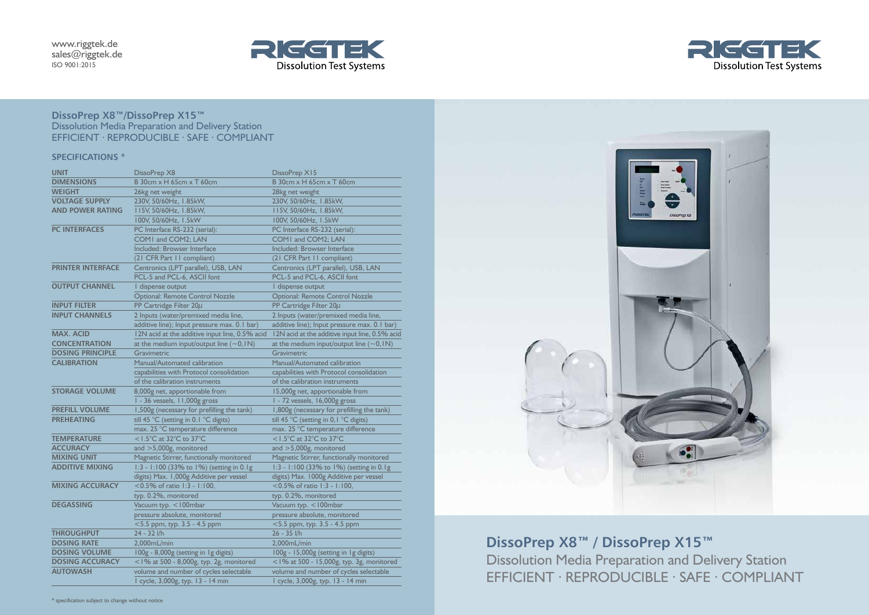# **DissoPrep X8™/DissoPrep X15™** Dissolution Media Preparation and Delivery Station EFFICIENT ∙ REPRODUCIBLE ∙ SAFE ∙ COMPLIANT

## **SPECIFICATIONS \***



| <b>UNIT</b>              | DissoPrep X8                                   | DissoPrep X15                                     |
|--------------------------|------------------------------------------------|---------------------------------------------------|
| <b>DIMENSIONS</b>        | B 30cm x H 65cm x T 60cm                       | B 30cm x H 65cm x T 60cm                          |
| <b>WEIGHT</b>            | 26kg net weight                                | 28kg net weight                                   |
| <b>VOLTAGE SUPPLY</b>    | 230V, 50/60Hz, 1.85kW,                         | 230V, 50/60Hz, 1.85kW,                            |
| <b>AND POWER RATING</b>  | 115V, 50/60Hz, 1.85kW,                         | 115V, 50/60Hz, 1.85kW,                            |
|                          | 100V, 50/60Hz, 1.5kW                           | 100V, 50/60Hz, 1.5kW                              |
| <b>PC INTERFACES</b>     | PC Interface RS-232 (serial):                  | PC Interface RS-232 (serial):                     |
|                          | COM1 and COM2; LAN                             | COM1 and COM2; LAN                                |
|                          | Included: Browser Interface                    | Included: Browser Interface                       |
|                          | (21 CFR Part 11 compliant)                     | (21 CFR Part 11 compliant)                        |
| <b>PRINTER INTERFACE</b> | Centronics (LPT parallel), USB, LAN            | Centronics (LPT parallel), USB, LAN               |
|                          | PCL-5 and PCL-6, ASCII font                    | PCL-5 and PCL-6, ASCII font                       |
| <b>OUTPUT CHANNEL</b>    | I dispense output                              | I dispense output                                 |
|                          | <b>Optional: Remote Control Nozzle</b>         | <b>Optional: Remote Control Nozzle</b>            |
| <b>INPUT FILTER</b>      | PP Cartridge Filter $20\mu$                    | PP Cartridge Filter 20µ                           |
| <b>INPUT CHANNELS</b>    | 2 Inputs (water/premixed media line,           | 2 Inputs (water/premixed media line,              |
|                          | additive line); Input pressure max. 0.1 bar)   | additive line); Input pressure max. 0.1 bar)      |
| <b>MAX, ACID</b>         | 12N acid at the additive input line, 0.5% acid | 12N acid at the additive input line, 0.5% acid    |
| <b>CONCENTRATION</b>     | at the medium input/output line $(\sim 0,1N)$  | at the medium input/output line $(\sim 0,1N)$     |
| <b>DOSING PRINCIPLE</b>  | Gravimetric                                    | Gravimetric                                       |
| <b>CALIBRATION</b>       | Manual/Automated calibration                   | Manual/Automated calibration                      |
|                          | capabilities with Protocol consolidation       | capabilities with Protocol consolidation          |
|                          | of the calibration instruments                 | of the calibration instruments                    |
| <b>STORAGE VOLUME</b>    | 8,000g net, apportionable from                 | 15,000g net, apportionable from                   |
|                          | I - 36 vessels, II,000g gross                  | 1 - 72 vessels, 16,000g gross                     |
| <b>PREFILL VOLUME</b>    | 1,500g (necessary for prefilling the tank)     | 1,800g (necessary for prefilling the tank)        |
| <b>PREHEATING</b>        | till 45 °C (setting in 0.1 °C digits)          | till 45 °C (setting in 0, $\mathsf{I}$ °C digits) |
|                          | max. 25 °C temperature difference              | max. 25 °C temperature difference                 |
| <b>TEMPERATURE</b>       | $\le$ 1.5°C at 32°C to 37°C                    | $<$ 1.5°C at 32°C to 37°C                         |
| <b>ACCURACY</b>          | and $>5,000g$ , monitored                      | and $>5,000g$ , monitored                         |
| <b>MIXING UNIT</b>       | Magnetic Stirrer, functionally monitored       | Magnetic Stirrer, functionally monitored          |
| <b>ADDITIVE MIXING</b>   | 1:3 - 1:100 (33% to 1%) (setting in 0.1g       | 1:3 - 1:100 (33% to 1%) (setting in 0.1g          |
|                          | digits) Max. 1,000g Additive per vessel        | digits) Max. 1000g Additive per vessel            |
| <b>MIXING ACCURACY</b>   | $< 0.5\%$ of ratio 1:3 - 1:100,                | $<$ 0.5% of ratio 1:3 - 1:100,                    |
|                          | typ. 0.2%, monitored                           | typ. 0.2%, monitored                              |
| <b>DEGASSING</b>         | Vacuum typ. < 100mbar                          | Vacuum typ. < 100mbar                             |
|                          | pressure absolute, monitored                   | pressure absolute, monitored                      |
|                          | $<$ 5.5 ppm, typ. 3.5 - 4.5 ppm                | $<$ 5.5 ppm, typ. 3.5 - 4.5 ppm                   |
| <b>THROUGHPUT</b>        | 24 - 32 l/h                                    | 26 - 35 l/h                                       |
| <b>DOSING RATE</b>       | 2,000mL/min                                    | 2,000mL/min                                       |
| <b>DOSING VOLUME</b>     | 100g - 8,000g (setting in 1g digits)           | 100g - 15,000g (setting in 1g digits)             |
| <b>DOSING ACCURACY</b>   | $<$ 1% at 500 - 8,000g, typ. 2g, monitored     | <1% at 500 - 15,000g, typ. 3g, monitored          |
| <b>AUTOWASH</b>          | volume and number of cycles selectable         | volume and number of cycles selectable            |
|                          | I cycle, 3,000g, typ. 13 - 14 min              | I cycle, 3,000g, typ. 13 - 14 min                 |





**DissoPrep X8™ / DissoPrep X15™** Dissolution Media Preparation and Delivery Station EFFICIENT ∙ REPRODUCIBLE ∙ SAFE ∙ COMPLIANT